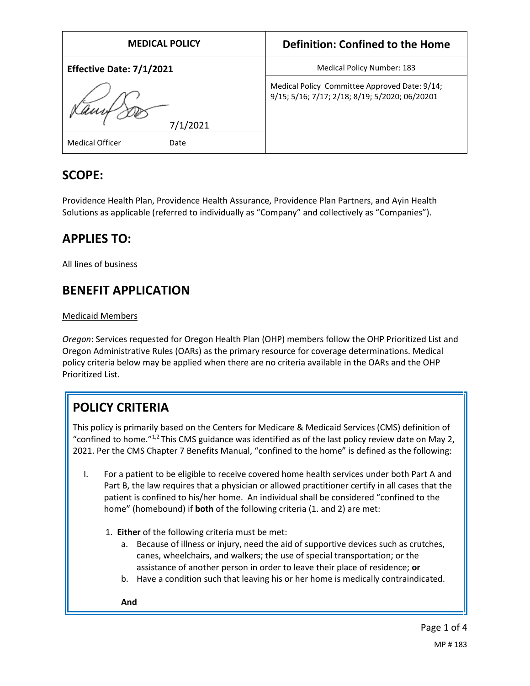| <b>MEDICAL POLICY</b>    | <b>Definition: Confined to the Home</b>                                                         |
|--------------------------|-------------------------------------------------------------------------------------------------|
| Effective Date: 7/1/2021 | <b>Medical Policy Number: 183</b>                                                               |
| 7/1/2021                 | Medical Policy Committee Approved Date: 9/14;<br>9/15; 5/16; 7/17; 2/18; 8/19; 5/2020; 06/20201 |
| Medical Officer<br>Date  |                                                                                                 |

# **SCOPE:**

Providence Health Plan, Providence Health Assurance, Providence Plan Partners, and Ayin Health Solutions as applicable (referred to individually as "Company" and collectively as "Companies").

# **APPLIES TO:**

All lines of business

# **BENEFIT APPLICATION**

### Medicaid Members

*Oregon*: Services requested for Oregon Health Plan (OHP) members follow the OHP Prioritized List and Oregon Administrative Rules (OARs) as the primary resource for coverage determinations. Medical policy criteria below may be applied when there are no criteria available in the OARs and the OHP Prioritized List.

# **POLICY CRITERIA**

This policy is primarily based on the Centers for Medicare & Medicaid Services (CMS) definition of "confined to home."<sup>1,2</sup> This CMS guidance was identified as of the last policy review date on May 2, 2021. Per the CMS Chapter 7 Benefits Manual, "confined to the home" is defined as the following:

- I. For a patient to be eligible to receive covered home health services under both Part A and Part B, the law requires that a physician or allowed practitioner certify in all cases that the patient is confined to his/her home. An individual shall be considered "confined to the home" (homebound) if **both** of the following criteria (1. and 2) are met:
	- 1. **Either** of the following criteria must be met:
		- a. Because of illness or injury, need the aid of supportive devices such as crutches, canes, wheelchairs, and walkers; the use of special transportation; or the assistance of another person in order to leave their place of residence; **or**
		- b. Have a condition such that leaving his or her home is medically contraindicated.
		- **And**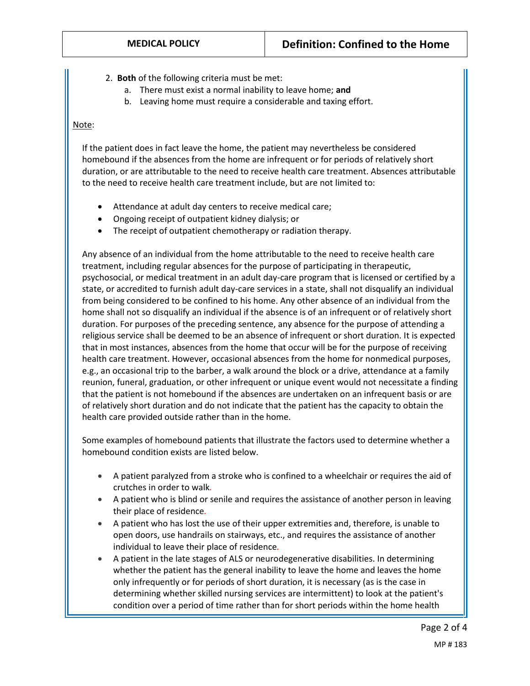- 2. **Both** of the following criteria must be met:
	- a. There must exist a normal inability to leave home; **and**
	- b. Leaving home must require a considerable and taxing effort.

#### Note:

If the patient does in fact leave the home, the patient may nevertheless be considered homebound if the absences from the home are infrequent or for periods of relatively short duration, or are attributable to the need to receive health care treatment. Absences attributable to the need to receive health care treatment include, but are not limited to:

- Attendance at adult day centers to receive medical care;
- Ongoing receipt of outpatient kidney dialysis; or
- The receipt of outpatient chemotherapy or radiation therapy.

Any absence of an individual from the home attributable to the need to receive health care treatment, including regular absences for the purpose of participating in therapeutic, psychosocial, or medical treatment in an adult day-care program that is licensed or certified by a state, or accredited to furnish adult day-care services in a state, shall not disqualify an individual from being considered to be confined to his home. Any other absence of an individual from the home shall not so disqualify an individual if the absence is of an infrequent or of relatively short duration. For purposes of the preceding sentence, any absence for the purpose of attending a religious service shall be deemed to be an absence of infrequent or short duration. It is expected that in most instances, absences from the home that occur will be for the purpose of receiving health care treatment. However, occasional absences from the home for nonmedical purposes, e.g., an occasional trip to the barber, a walk around the block or a drive, attendance at a family reunion, funeral, graduation, or other infrequent or unique event would not necessitate a finding that the patient is not homebound if the absences are undertaken on an infrequent basis or are of relatively short duration and do not indicate that the patient has the capacity to obtain the health care provided outside rather than in the home.

Some examples of homebound patients that illustrate the factors used to determine whether a homebound condition exists are listed below.

- A patient paralyzed from a stroke who is confined to a wheelchair or requires the aid of crutches in order to walk*.*
- A patient who is blind or senile and requires the assistance of another person in leaving their place of residence*.*
- A patient who has lost the use of their upper extremities and, therefore, is unable to open doors, use handrails on stairways, etc., and requires the assistance of another individual to leave their place of residence*.*
- A patient in the late stages of ALS or neurodegenerative disabilities. In determining whether the patient has the general inability to leave the home and leaves the home only infrequently or for periods of short duration, it is necessary (as is the case in determining whether skilled nursing services are intermittent) to look at the patient's condition over a period of time rather than for short periods within the home health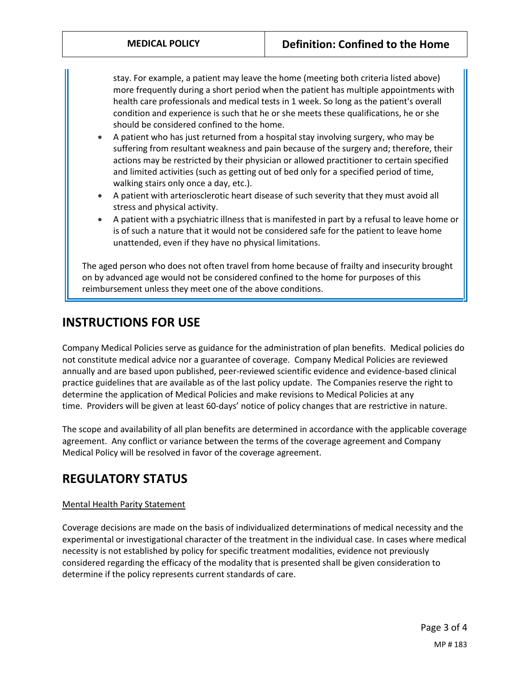stay. For example, a patient may leave the home (meeting both criteria listed above) more frequently during a short period when the patient has multiple appointments with health care professionals and medical tests in 1 week. So long as the patient's overall condition and experience is such that he or she meets these qualifications, he or she should be considered confined to the home.

- A patient who has just returned from a hospital stay involving surgery, who may be suffering from resultant weakness and pain because of the surgery and; therefore, their actions may be restricted by their physician or allowed practitioner to certain specified and limited activities (such as getting out of bed only for a specified period of time, walking stairs only once a day, etc.).
- A patient with arteriosclerotic heart disease of such severity that they must avoid all stress and physical activity.
- A patient with a psychiatric illness that is manifested in part by a refusal to leave home or is of such a nature that it would not be considered safe for the patient to leave home unattended, even if they have no physical limitations.

The aged person who does not often travel from home because of frailty and insecurity brought on by advanced age would not be considered confined to the home for purposes of this reimbursement unless they meet one of the above conditions.

## **INSTRUCTIONS FOR USE**

Company Medical Policies serve as guidance for the administration of plan benefits. Medical policies do not constitute medical advice nor a guarantee of coverage. Company Medical Policies are reviewed annually and are based upon published, peer-reviewed scientific evidence and evidence-based clinical practice guidelines that are available as of the last policy update. The Companies reserve the right to determine the application of Medical Policies and make revisions to Medical Policies at any time. Providers will be given at least 60-days' notice of policy changes that are restrictive in nature.

The scope and availability of all plan benefits are determined in accordance with the applicable coverage agreement. Any conflict or variance between the terms of the coverage agreement and Company Medical Policy will be resolved in favor of the coverage agreement.

## **REGULATORY STATUS**

### Mental Health Parity Statement

Coverage decisions are made on the basis of individualized determinations of medical necessity and the experimental or investigational character of the treatment in the individual case. In cases where medical necessity is not established by policy for specific treatment modalities, evidence not previously considered regarding the efficacy of the modality that is presented shall be given consideration to determine if the policy represents current standards of care.